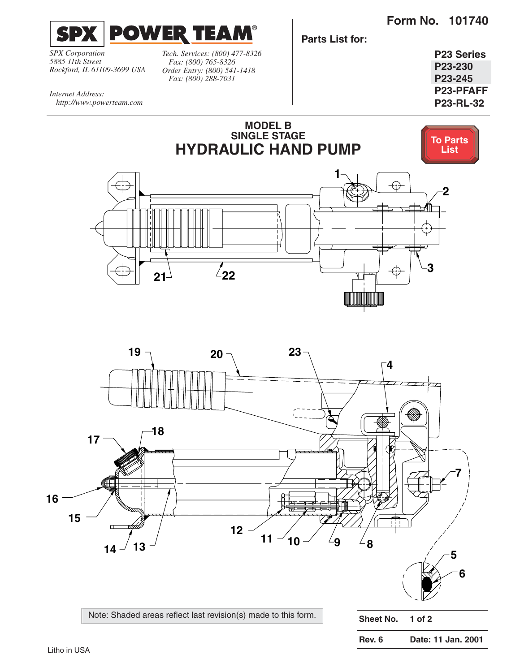**Form No. 101740**

<span id="page-0-0"></span>

*SPX Corporation 5885 11th Street Rockford, IL 61109-3699 USA* *Tech. Services: (800) 477-8326 Fax: (800) 765-8326 Order Entry: (800) 541-1418 Fax: (800) 288-7031*

**Parts List for:**

**P23 Series P23-230 P23-245 P23-PFAFF P23-RL-32**

*Internet Address: http://www.powerteam.com*



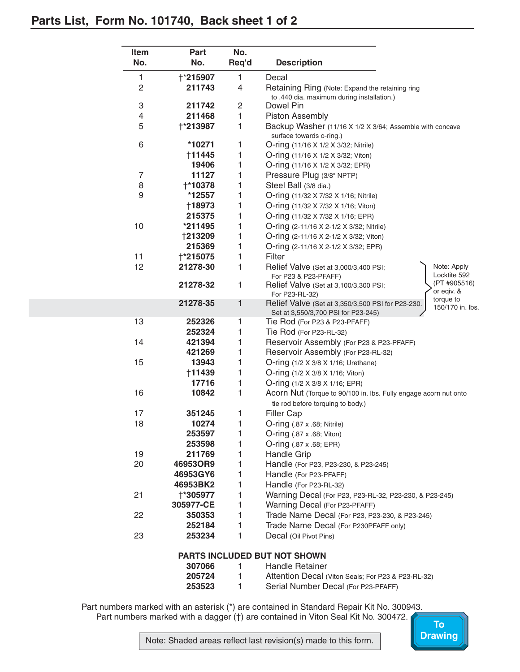<span id="page-1-0"></span>

|                | No.             | Req'd          | <b>Description</b>                                                                                           |
|----------------|-----------------|----------------|--------------------------------------------------------------------------------------------------------------|
| 1              | <b>†*215907</b> | 1              | Decal                                                                                                        |
| $\overline{c}$ | 211743          | 4              | Retaining Ring (Note: Expand the retaining ring                                                              |
|                |                 |                | to .440 dia. maximum during installation.)                                                                   |
| 3              | 211742          | $\overline{c}$ | Dowel Pin                                                                                                    |
| 4              | 211468          | 1              | <b>Piston Assembly</b>                                                                                       |
| 5              | †*213987        | 1              | Backup Washer (11/16 X 1/2 X 3/64; Assemble with concave<br>surface towards o-ring.)                         |
| 6              | *10271          | 1              | O-ring (11/16 X 1/2 X 3/32; Nitrile)                                                                         |
|                | <b>†11445</b>   | 1              | O-ring (11/16 X 1/2 X 3/32; Viton)                                                                           |
|                | 19406           | 1              | O-ring (11/16 X 1/2 X 3/32; EPR)                                                                             |
| $\overline{7}$ | 11127           | 1              | Pressure Plug (3/8" NPTP)                                                                                    |
| 8              | <b>†*10378</b>  | 1              | Steel Ball (3/8 dia.)                                                                                        |
| 9              | *12557          | 1              | O-ring (11/32 X 7/32 X 1/16; Nitrile)                                                                        |
|                | †18973          | 1              | O-ring (11/32 X 7/32 X 1/16; Viton)                                                                          |
|                | 215375          | 1              | O-ring (11/32 X 7/32 X 1/16; EPR)                                                                            |
| 10             | *211495         | 1              | O-ring (2-11/16 X 2-1/2 X 3/32; Nitrile)                                                                     |
|                | <b>†213209</b>  | 1              | O-ring (2-11/16 X 2-1/2 X 3/32; Viton)                                                                       |
|                | 215369          | 1              | O-ring (2-11/16 X 2-1/2 X 3/32; EPR)                                                                         |
| 11             | <b>+*215075</b> | 1              | Filter                                                                                                       |
| 12             | 21278-30        | 1              | Relief Valve (Set at 3,000/3,400 PSI;<br>Note: Apply<br>Locktite 592<br>For P23 & P23-PFAFF)                 |
|                | 21278-32        | 1              | (PT #905516)<br>Relief Valve (Set at 3,100/3,300 PSI;<br>or eqiv. &<br>For P23-RL-32)<br>torque to           |
|                | 21278-35        | 1              | Relief Valve (Set at 3,350/3,500 PSI for P23-230.<br>150/170 in. lbs.<br>Set at 3,550/3,700 PSI for P23-245) |
| 13             | 252326          | 1              | Tie Rod (For P23 & P23-PFAFF)                                                                                |
|                | 252324          | 1              | Tie Rod (For P23-RL-32)                                                                                      |
| 14             | 421394          | 1              | Reservoir Assembly (For P23 & P23-PFAFF)                                                                     |
|                | 421269          | 1              | Reservoir Assembly (For P23-RL-32)                                                                           |
| 15             | 13943           | 1              | O-ring (1/2 X 3/8 X 1/16; Urethane)                                                                          |
|                | †11439          | 1              | O-ring (1/2 X 3/8 X 1/16; Viton)                                                                             |
|                | 17716           | 1              | O-ring (1/2 X 3/8 X 1/16; EPR)                                                                               |
| 16             | 10842           | 1              | Acorn Nut (Torque to 90/100 in. Ibs. Fully engage acorn nut onto<br>tie rod before torquing to body.)        |
| 17             | 351245          | 1              | Filler Cap                                                                                                   |
| 18             | 10274           | 1              | O-ring (.87 x .68; Nitrile)                                                                                  |
|                | 253597          | 1              | $O\text{-ring}$ (.87 x .68; Viton)                                                                           |
|                | 253598          | 1              | O-ring (.87 x .68; EPR)                                                                                      |
| 19             | 211769          | 1              | Handle Grip                                                                                                  |
| 20             | 46953OR9        | 1              | Handle (For P23, P23-230, & P23-245)                                                                         |
|                | 46953GY6        | 1              | Handle (For P23-PFAFF)                                                                                       |
|                | 46953BK2        | 1              | Handle (For P23-RL-32)                                                                                       |
| 21             | †*305977        | 1              | Warning Decal (For P23, P23-RL-32, P23-230, & P23-245)                                                       |
|                | 305977-CE       | 1              | Warning Decal (For P23-PFAFF)                                                                                |
| 22             | 350353          | 1              | Trade Name Decal (For P23, P23-230, & P23-245)                                                               |
|                | 252184          | 1              | Trade Name Decal (For P230PFAFF only)                                                                        |
| 23             | 253234          | 1              | Decal (Oil Pivot Pins)                                                                                       |

| ווזוטווט ו טווי ו טע עבעטבעווא |  |                                                    |  |  |  |
|--------------------------------|--|----------------------------------------------------|--|--|--|
| 307066                         |  | <b>Handle Retainer</b>                             |  |  |  |
| 205724                         |  | Attention Decal (Viton Seals; For P23 & P23-RL-32) |  |  |  |
| 253523                         |  | Serial Number Decal (For P23-PFAFF)                |  |  |  |

Part numbers marked with an asterisk (\*) are contained in Standard Repair Kit No. 300943. Part numbers marked with a dagger (†) are contained in Viton Seal Kit No. 300472.

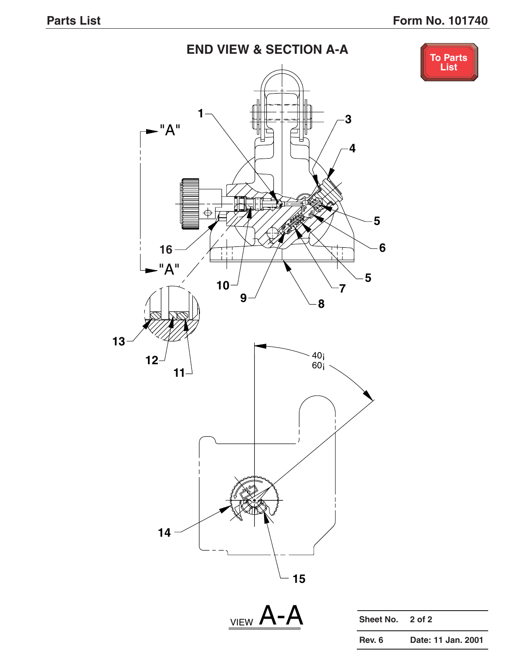## **END VIEW & SECTION A-A**



<span id="page-2-0"></span>



| Sheet No. 2 of 2 |                    |
|------------------|--------------------|
| Rev. 6           | Date: 11 Jan. 2001 |